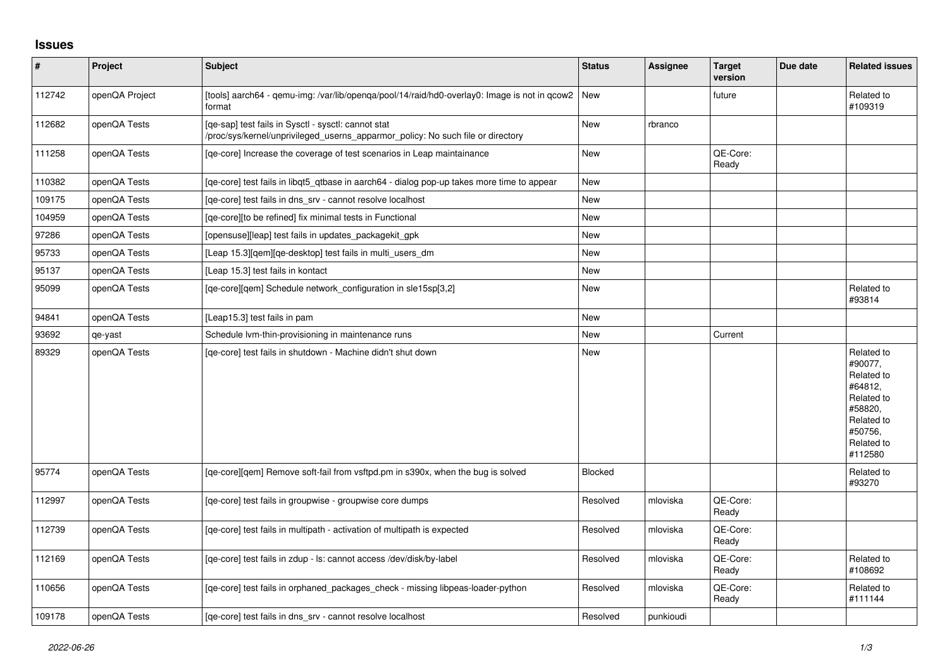## **Issues**

| $\vert$ # | Project        | <b>Subject</b>                                                                                                                         | <b>Status</b>  | <b>Assignee</b> | <b>Target</b><br>version | Due date | <b>Related issues</b>                                                                                                     |
|-----------|----------------|----------------------------------------------------------------------------------------------------------------------------------------|----------------|-----------------|--------------------------|----------|---------------------------------------------------------------------------------------------------------------------------|
| 112742    | openQA Project | [tools] aarch64 - qemu-img: /var/lib/openqa/pool/14/raid/hd0-overlay0: Image is not in qcow2  New<br>format                            |                |                 | future                   |          | Related to<br>#109319                                                                                                     |
| 112682    | openQA Tests   | [qe-sap] test fails in Sysctl - sysctl: cannot stat<br>/proc/sys/kernel/unprivileged_userns_apparmor_policy: No such file or directory | New            | rbranco         |                          |          |                                                                                                                           |
| 111258    | openQA Tests   | [ge-core] Increase the coverage of test scenarios in Leap maintainance                                                                 | <b>New</b>     |                 | QE-Core:<br>Ready        |          |                                                                                                                           |
| 110382    | openQA Tests   | [qe-core] test fails in libqt5_qtbase in aarch64 - dialog pop-up takes more time to appear                                             | <b>New</b>     |                 |                          |          |                                                                                                                           |
| 109175    | openQA Tests   | [qe-core] test fails in dns_srv - cannot resolve localhost                                                                             | <b>New</b>     |                 |                          |          |                                                                                                                           |
| 104959    | openQA Tests   | [ge-core][to be refined] fix minimal tests in Functional                                                                               | <b>New</b>     |                 |                          |          |                                                                                                                           |
| 97286     | openQA Tests   | [opensuse][leap] test fails in updates_packagekit_gpk                                                                                  | <b>New</b>     |                 |                          |          |                                                                                                                           |
| 95733     | openQA Tests   | [Leap 15.3][qem][qe-desktop] test fails in multi_users_dm                                                                              | <b>New</b>     |                 |                          |          |                                                                                                                           |
| 95137     | openQA Tests   | [Leap 15.3] test fails in kontact                                                                                                      | New            |                 |                          |          |                                                                                                                           |
| 95099     | openQA Tests   | [ge-core][gem] Schedule network configuration in sle15sp[3,2]                                                                          | New            |                 |                          |          | Related to<br>#93814                                                                                                      |
| 94841     | openQA Tests   | [Leap15.3] test fails in pam                                                                                                           | <b>New</b>     |                 |                          |          |                                                                                                                           |
| 93692     | qe-yast        | Schedule Ivm-thin-provisioning in maintenance runs                                                                                     | <b>New</b>     |                 | Current                  |          |                                                                                                                           |
| 89329     | openQA Tests   | [ge-core] test fails in shutdown - Machine didn't shut down                                                                            | <b>New</b>     |                 |                          |          | Related to<br>#90077,<br>Related to<br>#64812,<br>Related to<br>#58820.<br>Related to<br>#50756,<br>Related to<br>#112580 |
| 95774     | openQA Tests   | [qe-core][qem] Remove soft-fail from vsftpd.pm in s390x, when the bug is solved                                                        | <b>Blocked</b> |                 |                          |          | Related to<br>#93270                                                                                                      |
| 112997    | openQA Tests   | [qe-core] test fails in groupwise - groupwise core dumps                                                                               | Resolved       | mloviska        | QE-Core:<br>Ready        |          |                                                                                                                           |
| 112739    | openQA Tests   | [qe-core] test fails in multipath - activation of multipath is expected                                                                | Resolved       | mloviska        | QE-Core:<br>Ready        |          |                                                                                                                           |
| 112169    | openQA Tests   | [ge-core] test fails in zdup - ls: cannot access /dev/disk/by-label                                                                    | Resolved       | mloviska        | QE-Core:<br>Ready        |          | Related to<br>#108692                                                                                                     |
| 110656    | openQA Tests   | [ge-core] test fails in orphaned packages check - missing libpeas-loader-python                                                        | Resolved       | mloviska        | QE-Core:<br>Ready        |          | Related to<br>#111144                                                                                                     |
| 109178    | openQA Tests   | [ge-core] test fails in dns srv - cannot resolve localhost                                                                             | Resolved       | punkioudi       |                          |          |                                                                                                                           |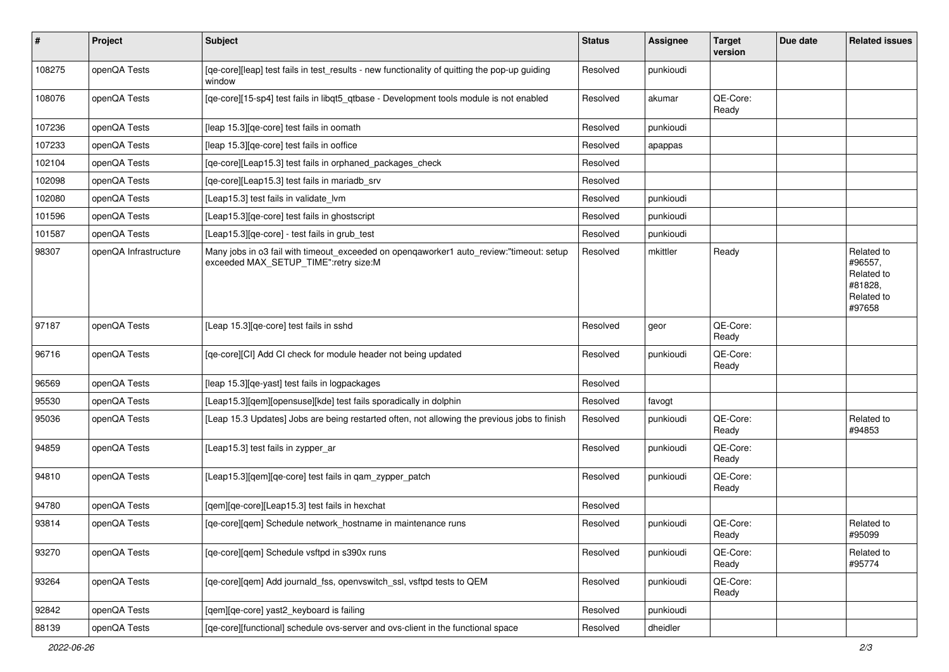| $\vert$ # | Project               | <b>Subject</b>                                                                                                                   | <b>Status</b> | <b>Assignee</b> | <b>Target</b><br>version | Due date | <b>Related issues</b>                                                  |
|-----------|-----------------------|----------------------------------------------------------------------------------------------------------------------------------|---------------|-----------------|--------------------------|----------|------------------------------------------------------------------------|
| 108275    | openQA Tests          | [qe-core][leap] test fails in test_results - new functionality of quitting the pop-up guiding<br>window                          | Resolved      | punkioudi       |                          |          |                                                                        |
| 108076    | openQA Tests          | [qe-core][15-sp4] test fails in libqt5_qtbase - Development tools module is not enabled                                          | Resolved      | akumar          | OE-Core:<br>Ready        |          |                                                                        |
| 107236    | openQA Tests          | [leap 15.3] [qe-core] test fails in oomath                                                                                       | Resolved      | punkioudi       |                          |          |                                                                        |
| 107233    | openQA Tests          | [leap 15.3] [qe-core] test fails in ooffice                                                                                      | Resolved      | apappas         |                          |          |                                                                        |
| 102104    | openQA Tests          | [qe-core][Leap15.3] test fails in orphaned_packages_check                                                                        | Resolved      |                 |                          |          |                                                                        |
| 102098    | openQA Tests          | [ge-core][Leap15.3] test fails in mariadb srv                                                                                    | Resolved      |                 |                          |          |                                                                        |
| 102080    | openQA Tests          | [Leap15.3] test fails in validate lvm                                                                                            | Resolved      | punkioudi       |                          |          |                                                                        |
| 101596    | openQA Tests          | [Leap15.3] [qe-core] test fails in ghostscript                                                                                   | Resolved      | punkioudi       |                          |          |                                                                        |
| 101587    | openQA Tests          | [Leap15.3][qe-core] - test fails in grub_test                                                                                    | Resolved      | punkioudi       |                          |          |                                                                        |
| 98307     | openQA Infrastructure | Many jobs in o3 fail with timeout_exceeded on openqaworker1 auto_review:"timeout: setup<br>exceeded MAX_SETUP_TIME":retry size:M | Resolved      | mkittler        | Ready                    |          | Related to<br>#96557,<br>Related to<br>#81828,<br>Related to<br>#97658 |
| 97187     | openQA Tests          | [Leap 15.3] [qe-core] test fails in sshd                                                                                         | Resolved      | geor            | QE-Core:<br>Ready        |          |                                                                        |
| 96716     | openQA Tests          | [qe-core][CI] Add CI check for module header not being updated                                                                   | Resolved      | punkioudi       | QE-Core:<br>Ready        |          |                                                                        |
| 96569     | openQA Tests          | [leap 15.3] [qe-yast] test fails in logpackages                                                                                  | Resolved      |                 |                          |          |                                                                        |
| 95530     | openQA Tests          | [Leap15.3][qem][opensuse][kde] test fails sporadically in dolphin                                                                | Resolved      | favogt          |                          |          |                                                                        |
| 95036     | openQA Tests          | [Leap 15.3 Updates] Jobs are being restarted often, not allowing the previous jobs to finish                                     | Resolved      | punkioudi       | QE-Core:<br>Ready        |          | Related to<br>#94853                                                   |
| 94859     | openQA Tests          | [Leap15.3] test fails in zypper_ar                                                                                               | Resolved      | punkioudi       | QE-Core:<br>Ready        |          |                                                                        |
| 94810     | openQA Tests          | [Leap15.3][gem][ge-core] test fails in gam_zypper_patch                                                                          | Resolved      | punkioudi       | QE-Core:<br>Ready        |          |                                                                        |
| 94780     | openQA Tests          | [qem][qe-core][Leap15.3] test fails in hexchat                                                                                   | Resolved      |                 |                          |          |                                                                        |
| 93814     | openQA Tests          | [qe-core][qem] Schedule network_hostname in maintenance runs                                                                     | Resolved      | punkioudi       | QE-Core:<br>Ready        |          | Related to<br>#95099                                                   |
| 93270     | openQA Tests          | [ge-core][gem] Schedule vsftpd in s390x runs                                                                                     | Resolved      | punkioudi       | QE-Core:<br>Ready        |          | Related to<br>#95774                                                   |
| 93264     | openQA Tests          | [qe-core][qem] Add journald_fss, openvswitch_ssl, vsftpd tests to QEM                                                            | Resolved      | punkioudi       | QE-Core:<br>Ready        |          |                                                                        |
| 92842     | openQA Tests          | [qem][qe-core] yast2_keyboard is failing                                                                                         | Resolved      | punkioudi       |                          |          |                                                                        |
| 88139     | openQA Tests          | [qe-core][functional] schedule ovs-server and ovs-client in the functional space                                                 | Resolved      | dheidler        |                          |          |                                                                        |